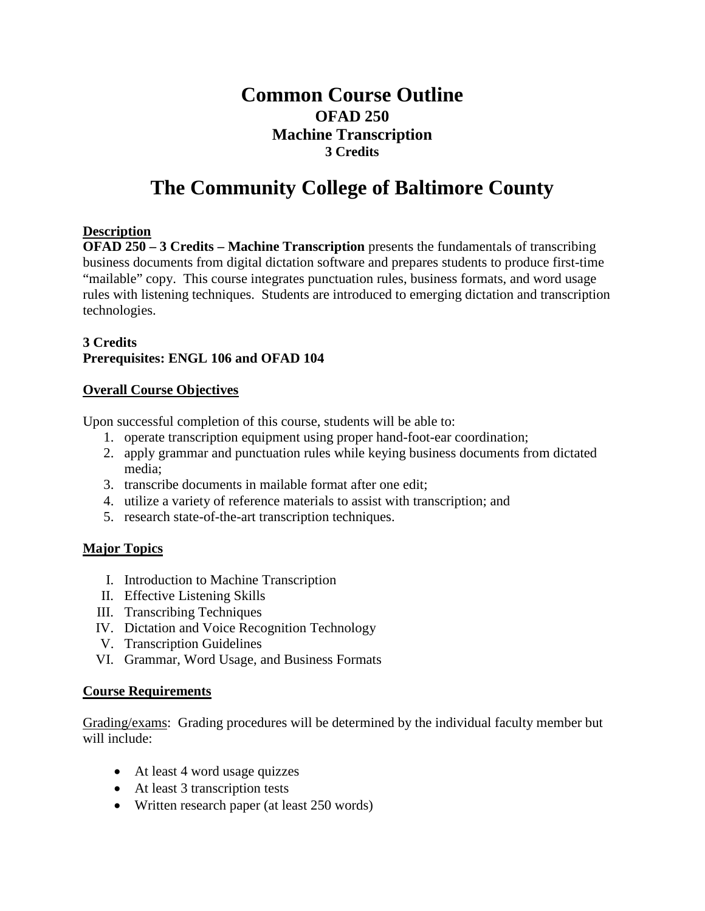# **Common Course Outline OFAD 250 Machine Transcription 3 Credits**

# **The Community College of Baltimore County**

### **Description**

**OFAD 250 – 3 Credits – Machine Transcription** presents the fundamentals of transcribing business documents from digital dictation software and prepares students to produce first-time "mailable" copy. This course integrates punctuation rules, business formats, and word usage rules with listening techniques. Students are introduced to emerging dictation and transcription technologies.

## **3 Credits Prerequisites: ENGL 106 and OFAD 104**

#### **Overall Course Objectives**

Upon successful completion of this course, students will be able to:

- 1. operate transcription equipment using proper hand-foot-ear coordination;
- 2. apply grammar and punctuation rules while keying business documents from dictated media;
- 3. transcribe documents in mailable format after one edit;
- 4. utilize a variety of reference materials to assist with transcription; and
- 5. research state-of-the-art transcription techniques.

### **Major Topics**

- I. Introduction to Machine Transcription
- II. Effective Listening Skills
- III. Transcribing Techniques
- IV. Dictation and Voice Recognition Technology
- V. Transcription Guidelines
- VI. Grammar, Word Usage, and Business Formats

#### **Course Requirements**

Grading/exams: Grading procedures will be determined by the individual faculty member but will include:

- At least 4 word usage quizzes
- At least 3 transcription tests
- Written research paper (at least 250 words)